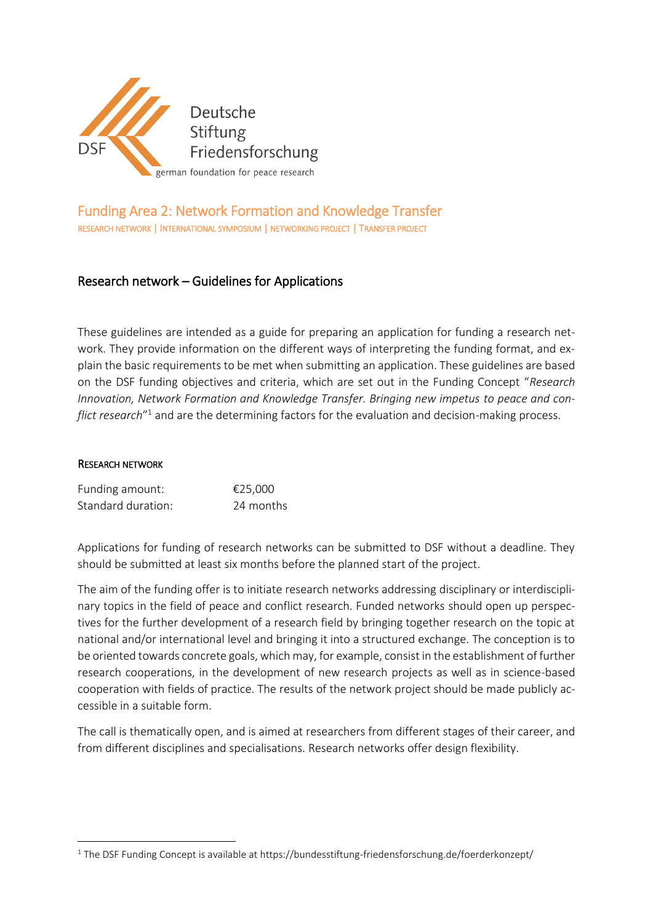

# Funding Area 2: Network Formation and Knowledge Transfer RESEARCH NETWORK | INTERNATIONAL SYMPOSIUM | NETWORKING PROJECT | TRANSFER PROJECT

## Research network – Guidelines for Applications

These guidelines are intended as a guide for preparing an application for funding a research network. They provide information on the different ways of interpreting the funding format, and explain the basic requirements to be met when submitting an application. These guidelines are based on the DSF funding objectives and criteria, which are set out in the Funding Concept "*Research Innovation, Network Formation and Knowledge Transfer. Bringing new impetus to peace and conflict research*" <sup>1</sup> and are the determining factors for the evaluation and decision-making process.

#### RESEARCH NETWORK

**.** 

| Funding amount:    | €25,000   |
|--------------------|-----------|
| Standard duration: | 24 months |

Applications for funding of research networks can be submitted to DSF without a deadline. They should be submitted at least six months before the planned start of the project.

The aim of the funding offer is to initiate research networks addressing disciplinary or interdisciplinary topics in the field of peace and conflict research. Funded networks should open up perspectives for the further development of a research field by bringing together research on the topic at national and/or international level and bringing it into a structured exchange. The conception is to be oriented towards concrete goals, which may, for example, consist in the establishment of further research cooperations, in the development of new research projects as well as in science-based cooperation with fields of practice. The results of the network project should be made publicly accessible in a suitable form.

The call is thematically open, and is aimed at researchers from different stages of their career, and from different disciplines and specialisations. Research networks offer design flexibility.

<sup>&</sup>lt;sup>1</sup> The DSF Funding Concept is available at https://bundesstiftung-friedensforschung.de/foerderkonzept/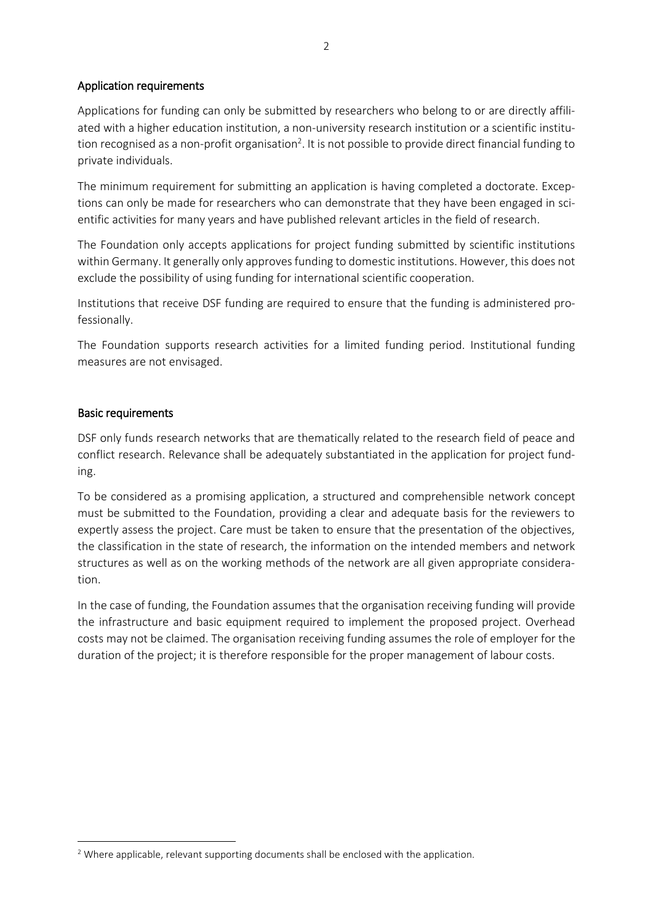#### Application requirements

Applications for funding can only be submitted by researchers who belong to or are directly affiliated with a higher education institution, a non-university research institution or a scientific institution recognised as a non-profit organisation<sup>2</sup>. It is not possible to provide direct financial funding to private individuals.

The minimum requirement for submitting an application is having completed a doctorate. Exceptions can only be made for researchers who can demonstrate that they have been engaged in scientific activities for many years and have published relevant articles in the field of research.

The Foundation only accepts applications for project funding submitted by scientific institutions within Germany. It generally only approves funding to domestic institutions. However, this does not exclude the possibility of using funding for international scientific cooperation.

Institutions that receive DSF funding are required to ensure that the funding is administered professionally.

The Foundation supports research activities for a limited funding period. Institutional funding measures are not envisaged.

#### Basic requirements

**.** 

DSF only funds research networks that are thematically related to the research field of peace and conflict research. Relevance shall be adequately substantiated in the application for project funding.

To be considered as a promising application, a structured and comprehensible network concept must be submitted to the Foundation, providing a clear and adequate basis for the reviewers to expertly assess the project. Care must be taken to ensure that the presentation of the objectives, the classification in the state of research, the information on the intended members and network structures as well as on the working methods of the network are all given appropriate consideration.

In the case of funding, the Foundation assumes that the organisation receiving funding will provide the infrastructure and basic equipment required to implement the proposed project. Overhead costs may not be claimed. The organisation receiving funding assumes the role of employer for the duration of the project; it is therefore responsible for the proper management of labour costs.

<sup>&</sup>lt;sup>2</sup> Where applicable, relevant supporting documents shall be enclosed with the application.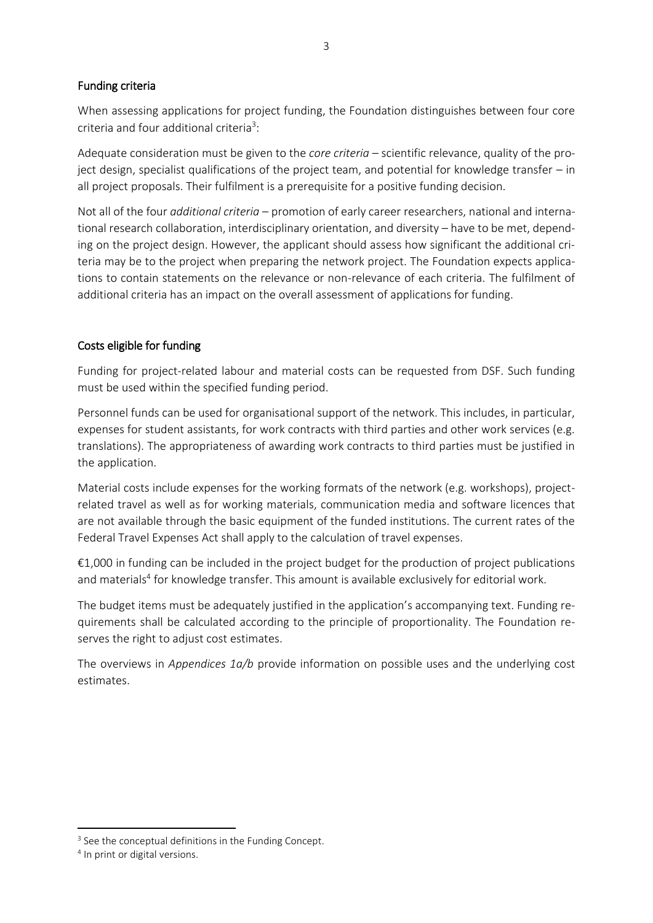#### Funding criteria

When assessing applications for project funding, the Foundation distinguishes between four core criteria and four additional criteria<sup>3</sup>:

Adequate consideration must be given to the *core criteria* – scientific relevance, quality of the project design, specialist qualifications of the project team, and potential for knowledge transfer – in all project proposals. Their fulfilment is a prerequisite for a positive funding decision.

Not all of the four *additional criteria* – promotion of early career researchers, national and international research collaboration, interdisciplinary orientation, and diversity – have to be met, depending on the project design. However, the applicant should assess how significant the additional criteria may be to the project when preparing the network project. The Foundation expects applications to contain statements on the relevance or non-relevance of each criteria. The fulfilment of additional criteria has an impact on the overall assessment of applications for funding.

## Costs eligible for funding

Funding for project-related labour and material costs can be requested from DSF. Such funding must be used within the specified funding period.

Personnel funds can be used for organisational support of the network. This includes, in particular, expenses for student assistants, for work contracts with third parties and other work services (e.g. translations). The appropriateness of awarding work contracts to third parties must be justified in the application.

Material costs include expenses for the working formats of the network (e.g. workshops), projectrelated travel as well as for working materials, communication media and software licences that are not available through the basic equipment of the funded institutions. The current rates of the Federal Travel Expenses Act shall apply to the calculation of travel expenses.

€1,000 in funding can be included in the project budget for the production of project publications and materials<sup>4</sup> for knowledge transfer. This amount is available exclusively for editorial work.

The budget items must be adequately justified in the application's accompanying text. Funding requirements shall be calculated according to the principle of proportionality. The Foundation reserves the right to adjust cost estimates.

The overviews in *Appendices 1a/b* provide information on possible uses and the underlying cost estimates.

1

<sup>4</sup> In print or digital versions.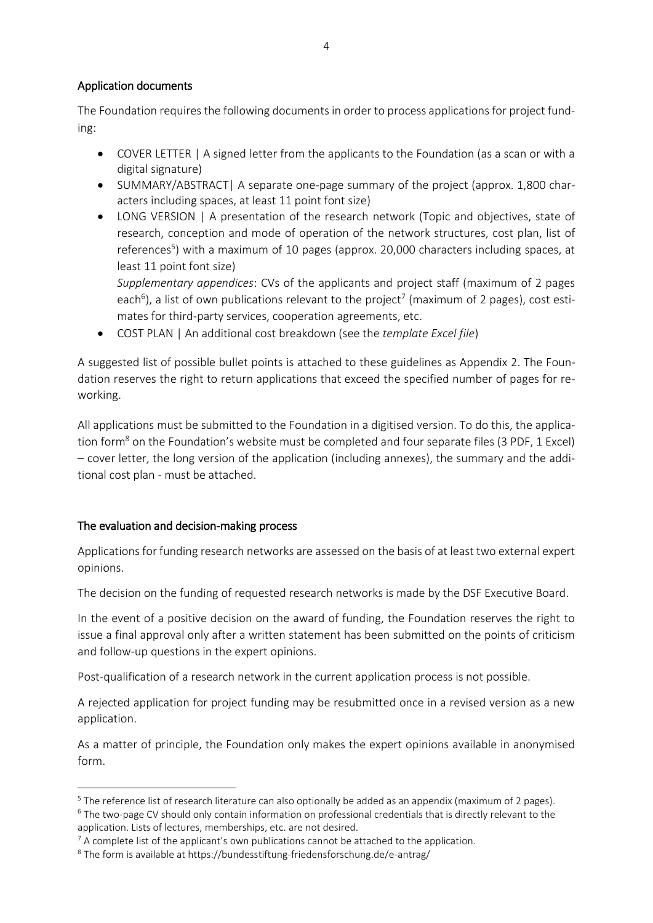#### Application documents

The Foundation requires the following documents in order to process applications for project funding:

- COVER LETTER | A signed letter from the applicants to the Foundation (as a scan or with a digital signature)
- SUMMARY/ABSTRACT| A separate one-page summary of the project (approx. 1,800 characters including spaces, at least 11 point font size)
- LONG VERSION | A presentation of the research network (Topic and objectives, state of research, conception and mode of operation of the network structures, cost plan, list of references<sup>5</sup>) with a maximum of 10 pages (approx. 20,000 characters including spaces, at least 11 point font size)

*Supplementary appendices*: CVs of the applicants and project staff (maximum of 2 pages each<sup>6</sup>), a list of own publications relevant to the project<sup>7</sup> (maximum of 2 pages), cost estimates for third-party services, cooperation agreements, etc.

COST PLAN | An additional cost breakdown (see the *template Excel file*)

A suggested list of possible bullet points is attached to these guidelines as Appendix 2. The Foundation reserves the right to return applications that exceed the specified number of pages for reworking.

All applications must be submitted to the Foundation in a digitised version. To do this, the application form<sup>8</sup> on the Foundation's website must be completed and four separate files (3 PDF, 1 Excel) – cover letter, the long version of the application (including annexes), the summary and the additional cost plan - must be attached.

## The evaluation and decision-making process

**.** 

Applications for funding research networks are assessed on the basis of at least two external expert opinions.

The decision on the funding of requested research networks is made by the DSF Executive Board.

In the event of a positive decision on the award of funding, the Foundation reserves the right to issue a final approval only after a written statement has been submitted on the points of criticism and follow-up questions in the expert opinions.

Post-qualification of a research network in the current application process is not possible.

A rejected application for project funding may be resubmitted once in a revised version as a new application.

As a matter of principle, the Foundation only makes the expert opinions available in anonymised form.

 $5$  The reference list of research literature can also optionally be added as an appendix (maximum of 2 pages).

<sup>6</sup> The two-page CV should only contain information on professional credentials that is directly relevant to the application. Lists of lectures, memberships, etc. are not desired.

 $7$  A complete list of the applicant's own publications cannot be attached to the application.

<sup>8</sup> The form is available at https://bundesstiftung-friedensforschung.de/e-antrag/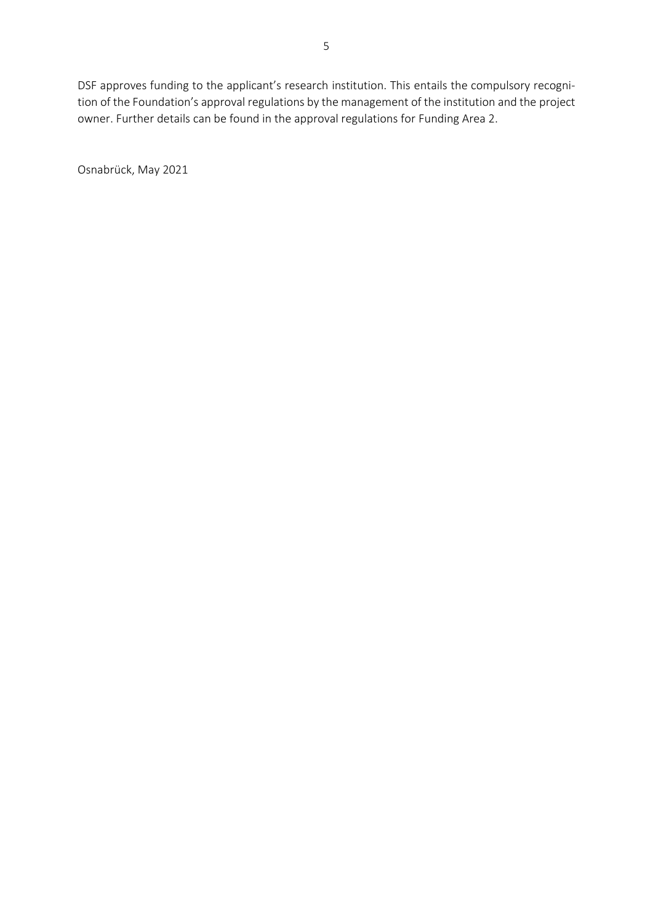DSF approves funding to the applicant's research institution. This entails the compulsory recognition of the Foundation's approval regulations by the management of the institution and the project owner. Further details can be found in the approval regulations for Funding Area 2.

Osnabrück, May 2021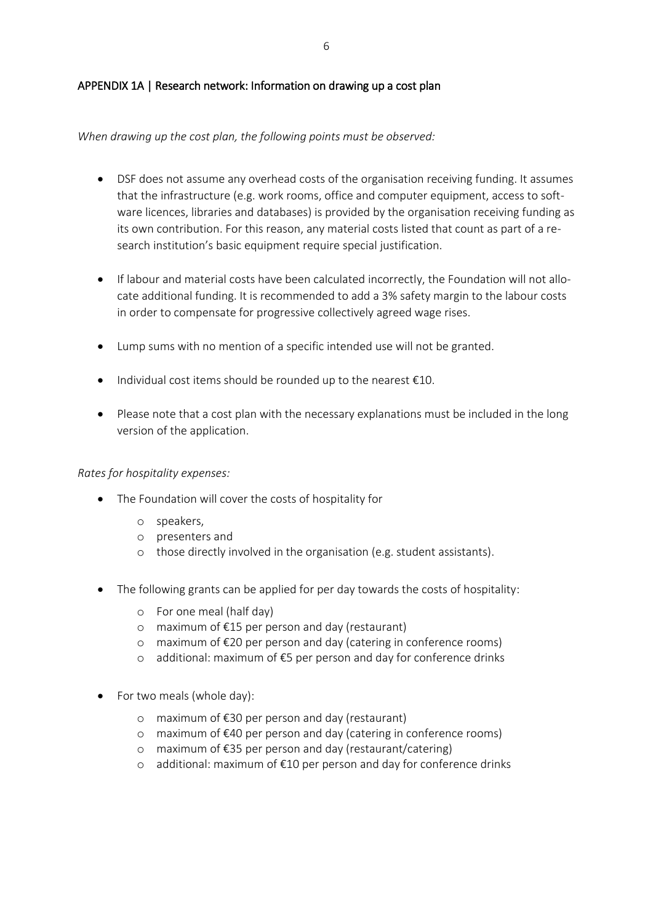#### APPENDIX 1A | Research network: Information on drawing up a cost plan

#### *When drawing up the cost plan, the following points must be observed:*

- DSF does not assume any overhead costs of the organisation receiving funding. It assumes that the infrastructure (e.g. work rooms, office and computer equipment, access to software licences, libraries and databases) is provided by the organisation receiving funding as its own contribution. For this reason, any material costs listed that count as part of a research institution's basic equipment require special justification.
- If labour and material costs have been calculated incorrectly, the Foundation will not allocate additional funding. It is recommended to add a 3% safety margin to the labour costs in order to compensate for progressive collectively agreed wage rises.
- Lump sums with no mention of a specific intended use will not be granted.
- Individual cost items should be rounded up to the nearest  $\epsilon$ 10.
- Please note that a cost plan with the necessary explanations must be included in the long version of the application.

#### *Rates for hospitality expenses:*

- The Foundation will cover the costs of hospitality for
	- o speakers,
	- o presenters and
	- o those directly involved in the organisation (e.g. student assistants).
- The following grants can be applied for per day towards the costs of hospitality:
	- o For one meal (half day)
	- o maximum of €15 per person and day (restaurant)
	- o maximum of €20 per person and day (catering in conference rooms)
	- o additional: maximum of €5 per person and day for conference drinks
- For two meals (whole day):
	- o maximum of €30 per person and day (restaurant)
	- o maximum of €40 per person and day (catering in conference rooms)
	- o maximum of €35 per person and day (restaurant/catering)
	- o additional: maximum of €10 per person and day for conference drinks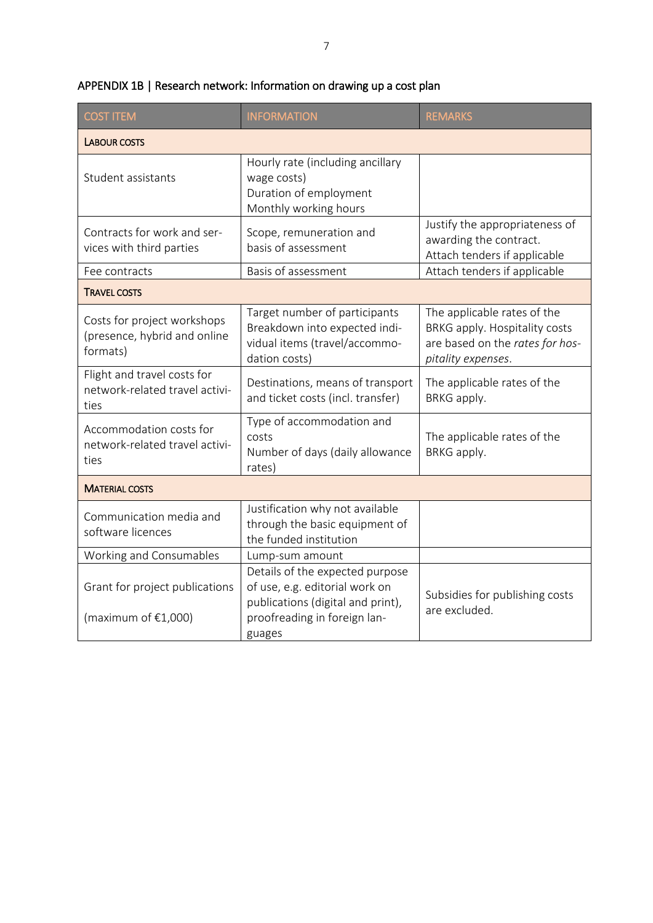| <b>COST ITEM</b>                                                        | <b>INFORMATION</b>                                                                                                                     | <b>REMARKS</b>                                                                                                        |
|-------------------------------------------------------------------------|----------------------------------------------------------------------------------------------------------------------------------------|-----------------------------------------------------------------------------------------------------------------------|
| <b>LABOUR COSTS</b>                                                     |                                                                                                                                        |                                                                                                                       |
| Student assistants                                                      | Hourly rate (including ancillary<br>wage costs)<br>Duration of employment<br>Monthly working hours                                     |                                                                                                                       |
| Contracts for work and ser-<br>vices with third parties                 | Scope, remuneration and<br>basis of assessment                                                                                         | Justify the appropriateness of<br>awarding the contract.<br>Attach tenders if applicable                              |
| Fee contracts                                                           | Basis of assessment                                                                                                                    | Attach tenders if applicable                                                                                          |
| <b>TRAVEL COSTS</b>                                                     |                                                                                                                                        |                                                                                                                       |
| Costs for project workshops<br>(presence, hybrid and online<br>formats) | Target number of participants<br>Breakdown into expected indi-<br>vidual items (travel/accommo-<br>dation costs)                       | The applicable rates of the<br>BRKG apply. Hospitality costs<br>are based on the rates for hos-<br>pitality expenses. |
| Flight and travel costs for<br>network-related travel activi-<br>ties   | Destinations, means of transport<br>and ticket costs (incl. transfer)                                                                  | The applicable rates of the<br>BRKG apply.                                                                            |
| Accommodation costs for<br>network-related travel activi-<br>ties       | Type of accommodation and<br>costs<br>Number of days (daily allowance<br>rates)                                                        | The applicable rates of the<br>BRKG apply.                                                                            |
| <b>MATERIAL COSTS</b>                                                   |                                                                                                                                        |                                                                                                                       |
| Communication media and<br>software licences                            | Justification why not available<br>through the basic equipment of<br>the funded institution                                            |                                                                                                                       |
| Working and Consumables                                                 | Lump-sum amount                                                                                                                        |                                                                                                                       |
| Grant for project publications<br>(maximum of $£1,000$ )                | Details of the expected purpose<br>of use, e.g. editorial work on<br>publications (digital and print),<br>proofreading in foreign lan- | Subsidies for publishing costs<br>are excluded.                                                                       |
|                                                                         | guages                                                                                                                                 |                                                                                                                       |

# APPENDIX 1B | Research network: Information on drawing up a cost plan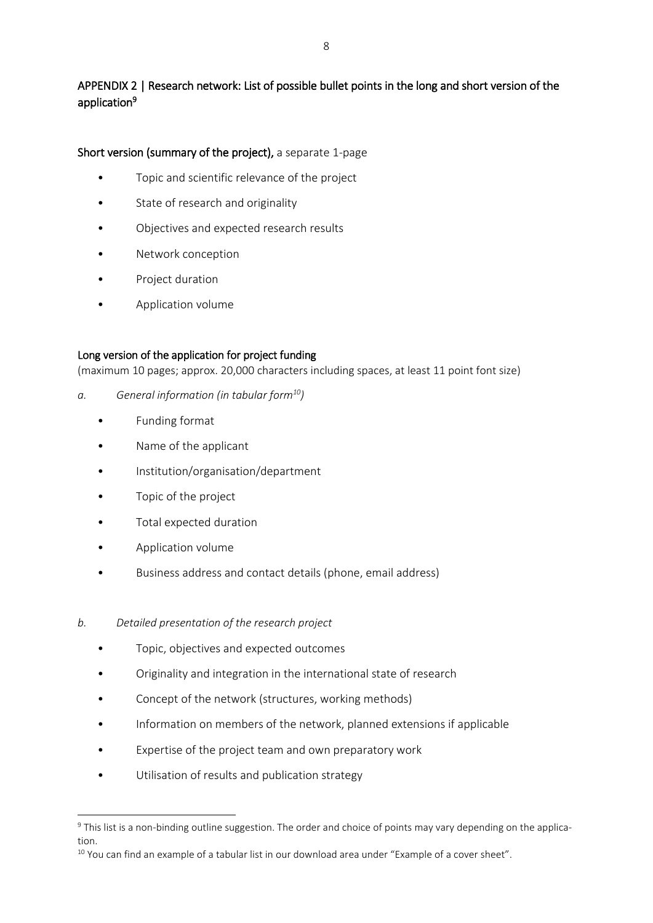# APPENDIX 2 | Research network: List of possible bullet points in the long and short version of the application<sup>9</sup>

#### Short version (summary of the project), a separate 1-page

- Topic and scientific relevance of the project
- State of research and originality
- Objectives and expected research results
- Network conception
- Project duration
- Application volume

#### Long version of the application for project funding

(maximum 10 pages; approx. 20,000 characters including spaces, at least 11 point font size)

- *a. General information (in tabular form<sup>10</sup>)*
	- Funding format
	- Name of the applicant
	- Institution/organisation/department
	- Topic of the project
	- Total expected duration
	- Application volume

**.** 

- Business address and contact details (phone, email address)
- *b. Detailed presentation of the research project*
	- Topic, objectives and expected outcomes
	- Originality and integration in the international state of research
	- Concept of the network (structures, working methods)
	- Information on members of the network, planned extensions if applicable
	- Expertise of the project team and own preparatory work
	- Utilisation of results and publication strategy

<sup>&</sup>lt;sup>9</sup> This list is a non-binding outline suggestion. The order and choice of points may vary depending on the application.

<sup>&</sup>lt;sup>10</sup> You can find an example of a tabular list in our download area under "Example of a cover sheet".